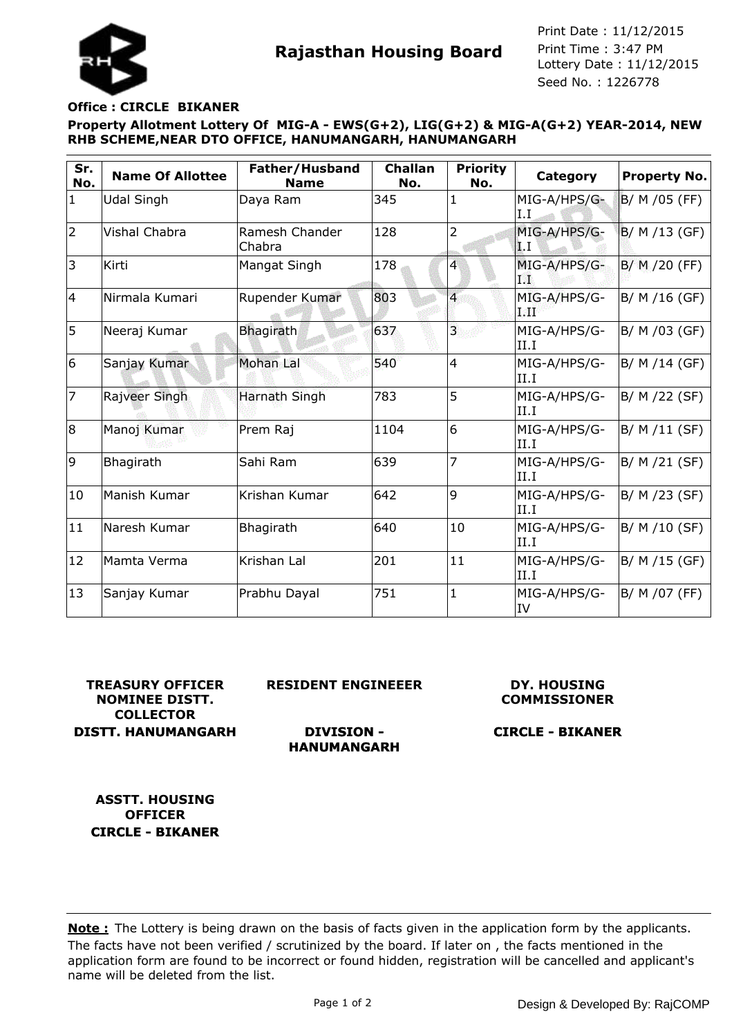

**Rajasthan Housing Board** Print Time : 3:47 PM<br>Lottery Date : 11/12/2015 Seed No. : 1226778 Print Date : 11/12/2015 Print Time : 3:47 PM

#### **Office : CIRCLE BIKANER**

**Property Allotment Lottery Of MIG-A - EWS(G+2), LIG(G+2) & MIG-A(G+2) YEAR-2014, NEW RHB SCHEME,NEAR DTO OFFICE, HANUMANGARH, HANUMANGARH**

| Sr.<br>No.     | <b>Name Of Allottee</b> | Father/Husband<br><b>Name</b> | <b>Challan</b><br>No. | <b>Priority</b><br>No. | <b>Category</b>       | <b>Property No.</b> |
|----------------|-------------------------|-------------------------------|-----------------------|------------------------|-----------------------|---------------------|
| $\mathbf{1}$   | <b>Udal Singh</b>       | Daya Ram                      | 345                   | 1                      | MIG-A/HPS/G-<br>I.I   | B/ M /05 (FF)       |
| $\overline{2}$ | <b>Vishal Chabra</b>    | Ramesh Chander<br>Chabra      | 128                   | $\overline{2}$         | MIG-A/HPS/G-<br>I.I   | B/ M /13 (GF)       |
| 3              | Kirti                   | Mangat Singh                  | 178                   | 4                      | MIG-A/HPS/G-<br>TW.   | $B/M/20$ (FF)       |
| 4              | Nirmala Kumari          | Rupender Kumar                | 803                   | $\overline{4}$         | MIG-A/HPS/G-<br>آلاته | B/ M /16 (GF)       |
| 5              | Neeraj Kumar            | <b>Bhagirath</b>              | 637                   | $\overline{3}$         | MIG-A/HPS/G-<br>II.I  | B/ M /03 (GF)       |
| 6              | Sanjay Kumar            | <b>Mohan Lal</b>              | 540                   | $\overline{4}$         | MIG-A/HPS/G-<br>II.I  | B/ M /14 (GF)       |
| 17             | Rajveer Singh           | Harnath Singh                 | 783                   | 5                      | MIG-A/HPS/G-<br>II.I  | B/ M /22 (SF)       |
| 8              | Manoj Kumar             | Prem Raj                      | 1104                  | 6                      | MIG-A/HPS/G-<br>II.I  | B/ M /11 (SF)       |
| 9              | Bhagirath               | Sahi Ram                      | 639                   | 7                      | MIG-A/HPS/G-<br>II.I  | B/ M /21 (SF)       |
| 10             | Manish Kumar            | Krishan Kumar                 | 642                   | 9                      | MIG-A/HPS/G-<br>II.I  | B/ M /23 (SF)       |
| 11             | Naresh Kumar            | Bhagirath                     | 640                   | 10                     | MIG-A/HPS/G-<br>II.I  | B/ M /10 (SF)       |
| 12             | Mamta Verma             | Krishan Lal                   | 201                   | 11                     | MIG-A/HPS/G-<br>II.I  | B/ M /15 (GF)       |
| 13             | Sanjay Kumar            | Prabhu Dayal                  | 751                   | $\mathbf{1}$           | MIG-A/HPS/G-<br>IV    | B/ M /07 (FF)       |

**TREASURY OFFICER NOMINEE DISTT. COLLECTOR DISTT. HANUMANGARH** **RESIDENT ENGINEEER**

### **DY. HOUSING COMMISSIONER**

**DIVISION - HANUMANGARH**

**CIRCLE - BIKANER**

**ASSTT. HOUSING OFFICER CIRCLE - BIKANER**

The facts have not been verified / scrutinized by the board. If later on , the facts mentioned in the application form are found to be incorrect or found hidden, registration will be cancelled and applicant's name will be deleted from the list. **Note :** The Lottery is being drawn on the basis of facts given in the application form by the applicants.